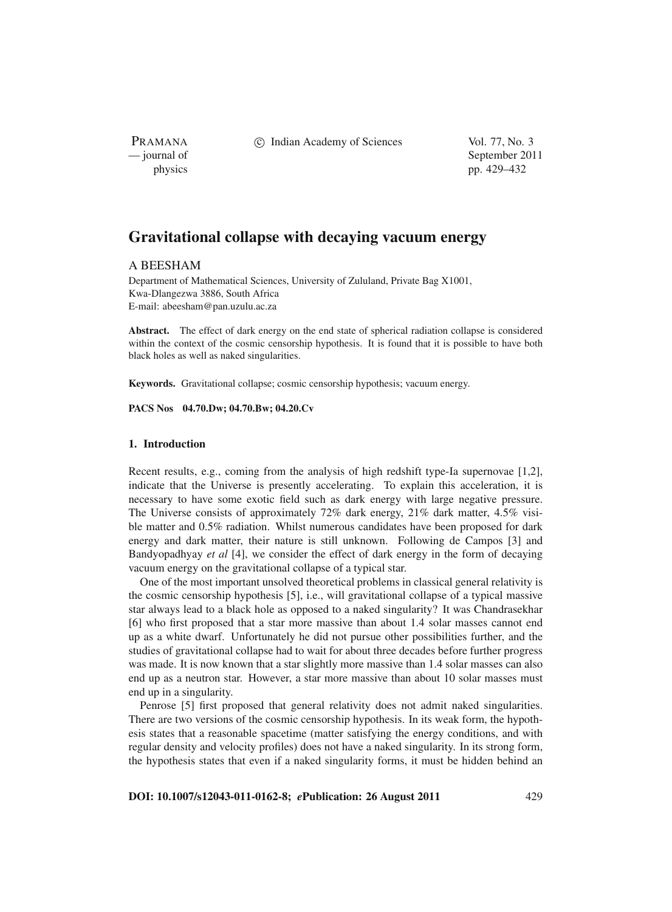PRAMANA

c Indian Academy of Sciences Vol. 77, No. 3

— journal of September 2011 physics pp. 429–432

# **Gravitational collapse with decaying vacuum energy**

# A BEESHAM

Department of Mathematical Sciences, University of Zululand, Private Bag X1001, Kwa-Dlangezwa 3886, South Africa E-mail: abeesham@pan.uzulu.ac.za

**Abstract.** The effect of dark energy on the end state of spherical radiation collapse is considered within the context of the cosmic censorship hypothesis. It is found that it is possible to have both black holes as well as naked singularities.

**Keywords.** Gravitational collapse; cosmic censorship hypothesis; vacuum energy.

**PACS Nos 04.70.Dw; 04.70.Bw; 04.20.Cv**

# **1. Introduction**

Recent results, e.g., coming from the analysis of high redshift type-Ia supernovae [1,2], indicate that the Universe is presently accelerating. To explain this acceleration, it is necessary to have some exotic field such as dark energy with large negative pressure. The Universe consists of approximately 72% dark energy, 21% dark matter, 4.5% visible matter and 0.5% radiation. Whilst numerous candidates have been proposed for dark energy and dark matter, their nature is still unknown. Following de Campos [3] and Bandyopadhyay *et al* [4], we consider the effect of dark energy in the form of decaying vacuum energy on the gravitational collapse of a typical star.

One of the most important unsolved theoretical problems in classical general relativity is the cosmic censorship hypothesis [5], i.e., will gravitational collapse of a typical massive star always lead to a black hole as opposed to a naked singularity? It was Chandrasekhar [6] who first proposed that a star more massive than about 1.4 solar masses cannot end up as a white dwarf. Unfortunately he did not pursue other possibilities further, and the studies of gravitational collapse had to wait for about three decades before further progress was made. It is now known that a star slightly more massive than 1.4 solar masses can also end up as a neutron star. However, a star more massive than about 10 solar masses must end up in a singularity.

Penrose [5] first proposed that general relativity does not admit naked singularities. There are two versions of the cosmic censorship hypothesis. In its weak form, the hypothesis states that a reasonable spacetime (matter satisfying the energy conditions, and with regular density and velocity profiles) does not have a naked singularity. In its strong form, the hypothesis states that even if a naked singularity forms, it must be hidden behind an

**DOI: 10.1007/s12043-011-0162-8;** *e***Publication: 26 August 2011** 429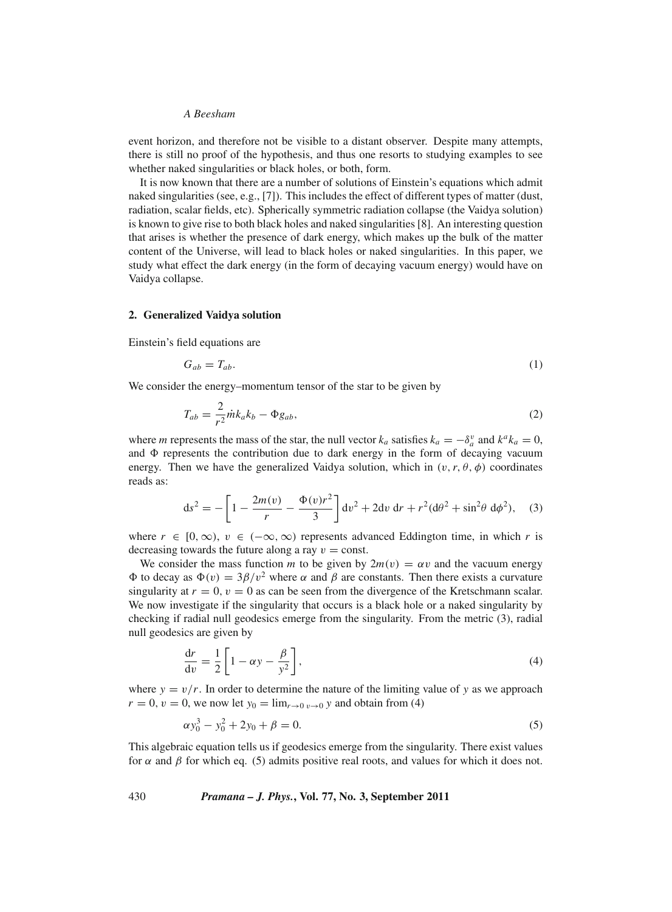#### *A Beesham*

event horizon, and therefore not be visible to a distant observer. Despite many attempts, there is still no proof of the hypothesis, and thus one resorts to studying examples to see whether naked singularities or black holes, or both, form.

It is now known that there are a number of solutions of Einstein's equations which admit naked singularities (see, e.g., [7]). This includes the effect of different types of matter (dust, radiation, scalar fields, etc). Spherically symmetric radiation collapse (the Vaidya solution) is known to give rise to both black holes and naked singularities [8]. An interesting question that arises is whether the presence of dark energy, which makes up the bulk of the matter content of the Universe, will lead to black holes or naked singularities. In this paper, we study what effect the dark energy (in the form of decaying vacuum energy) would have on Vaidya collapse.

#### **2. Generalized Vaidya solution**

Einstein's field equations are

$$
G_{ab} = T_{ab}.\tag{1}
$$

We consider the energy–momentum tensor of the star to be given by

$$
T_{ab} = \frac{2}{r^2} \dot{m} k_a k_b - \Phi g_{ab},\tag{2}
$$

where *m* represents the mass of the star, the null vector  $k_a$  satisfies  $k_a = -\delta_a^v$  and  $k^a k_a = 0$ , and  $\Phi$  represents the contribution due to dark energy in the form of decaying vacuum energy. Then we have the generalized Vaidya solution, which in  $(v, r, \theta, \phi)$  coordinates reads as:

$$
ds^{2} = -\left[1 - \frac{2m(v)}{r} - \frac{\Phi(v)r^{2}}{3}\right]dv^{2} + 2dv dr + r^{2}(d\theta^{2} + \sin^{2}\theta d\phi^{2}), \quad (3)
$$

where  $r \in [0, \infty)$ ,  $v \in (-\infty, \infty)$  represents advanced Eddington time, in which r is decreasing towards the future along a ray  $v = \text{const.}$ 

We consider the mass function *m* to be given by  $2m(v) = \alpha v$  and the vacuum energy  $\Phi$  to decay as  $\Phi(v) = 3\beta/v^2$  where α and β are constants. Then there exists a curvature singularity at  $r = 0$ ,  $v = 0$  as can be seen from the divergence of the Kretschmann scalar. We now investigate if the singularity that occurs is a black hole or a naked singularity by checking if radial null geodesics emerge from the singularity. From the metric (3), radial null geodesics are given by

$$
\frac{dr}{dv} = \frac{1}{2} \left[ 1 - \alpha y - \frac{\beta}{y^2} \right],\tag{4}
$$

where  $y = v/r$ . In order to determine the nature of the limiting value of y as we approach  $r = 0$ ,  $v = 0$ , we now let  $y_0 = \lim_{r \to 0} y_0 \to y_0$  and obtain from (4)

$$
\alpha y_0^3 - y_0^2 + 2y_0 + \beta = 0. \tag{5}
$$

This algebraic equation tells us if geodesics emerge from the singularity. There exist values for  $\alpha$  and  $\beta$  for which eq. (5) admits positive real roots, and values for which it does not.

430 *Pramana – J. Phys.***, Vol. 77, No. 3, September 2011**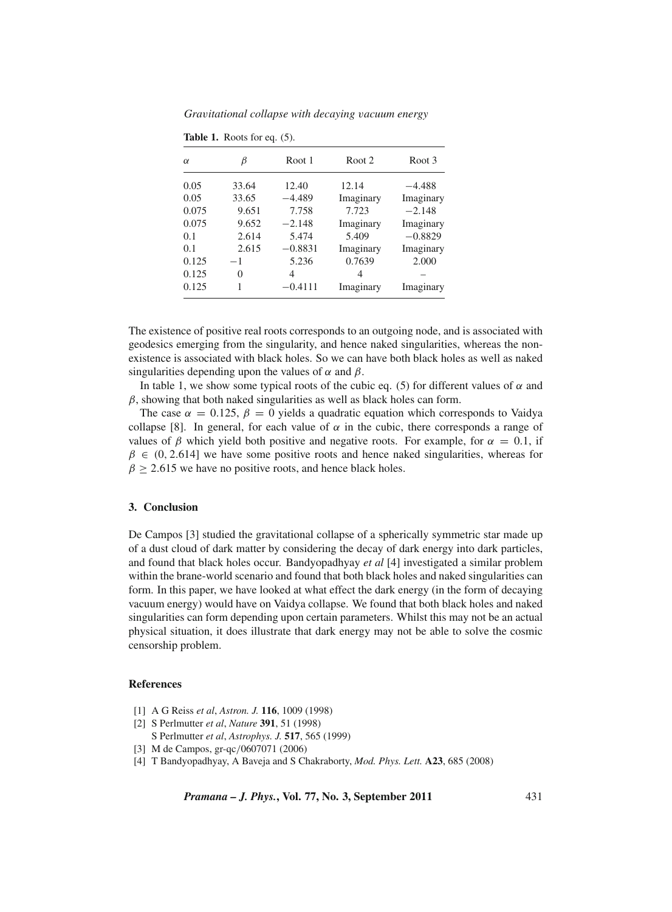*Gra*v*itational collapse with decaying* v*acuum energy*

| $\alpha$ | ß        | Root 1    | Root <sub>2</sub> | Root 3    |
|----------|----------|-----------|-------------------|-----------|
| 0.05     | 33.64    | 12.40     | 12.14             | $-4.488$  |
| 0.05     | 33.65    | $-4.489$  | Imaginary         | Imaginary |
| 0.075    | 9.651    | 7.758     | 7.723             | $-2.148$  |
| 0.075    | 9.652    | $-2.148$  | Imaginary         | Imaginary |
| 0.1      | 2.614    | 5.474     | 5.409             | $-0.8829$ |
| 0.1      | 2.615    | $-0.8831$ | Imaginary         | Imaginary |
| 0.125    | $-1$     | 5.236     | 0.7639            | 2.000     |
| 0.125    | $\theta$ | 4         | 4                 |           |
| 0.125    | 1        | $-0.4111$ | Imaginary         | Imaginary |

**Table 1.** Roots for eq. (5).

The existence of positive real roots corresponds to an outgoing node, and is associated with geodesics emerging from the singularity, and hence naked singularities, whereas the nonexistence is associated with black holes. So we can have both black holes as well as naked singularities depending upon the values of  $\alpha$  and  $\beta$ .

In table 1, we show some typical roots of the cubic eq. (5) for different values of  $\alpha$  and  $\beta$ , showing that both naked singularities as well as black holes can form.

The case  $\alpha = 0.125$ ,  $\beta = 0$  yields a quadratic equation which corresponds to Vaidya collapse [8]. In general, for each value of  $\alpha$  in the cubic, there corresponds a range of values of  $\beta$  which yield both positive and negative roots. For example, for  $\alpha = 0.1$ , if  $\beta \in (0, 2.614]$  we have some positive roots and hence naked singularities, whereas for  $\beta \ge 2.615$  we have no positive roots, and hence black holes.

## **3. Conclusion**

De Campos [3] studied the gravitational collapse of a spherically symmetric star made up of a dust cloud of dark matter by considering the decay of dark energy into dark particles, and found that black holes occur. Bandyopadhyay *et al* [4] investigated a similar problem within the brane-world scenario and found that both black holes and naked singularities can form. In this paper, we have looked at what effect the dark energy (in the form of decaying vacuum energy) would have on Vaidya collapse. We found that both black holes and naked singularities can form depending upon certain parameters. Whilst this may not be an actual physical situation, it does illustrate that dark energy may not be able to solve the cosmic censorship problem.

#### **References**

- [1] A G Reiss *et al*, *Astron. J.* **116**, 1009 (1998)
- [2] S Perlmutter *et al*, *Nature* **391**, 51 (1998)
- S Perlmutter *et al*, *Astrophys. J.* **517**, 565 (1999)
- [3] M de Campos, gr-qc/0607071 (2006)
- [4] T Bandyopadhyay, A Baveja and S Chakraborty, *Mod. Phys. Lett.* **A23**, 685 (2008)

*Pramana – J. Phys.***, Vol. 77, No. 3, September 2011** 431